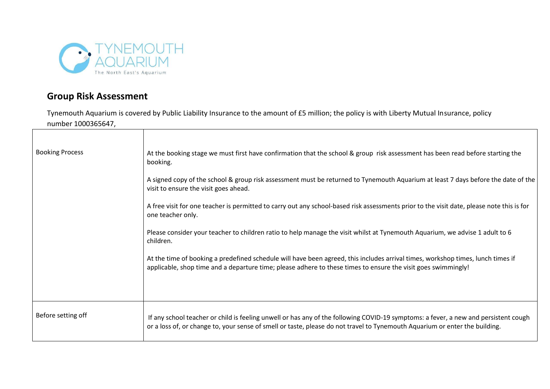

## **Group Risk Assessment**

Tynemouth Aquarium is covered by Public Liability Insurance to the amount of £5 million; the policy is with Liberty Mutual Insurance, policy number 1000365647,

| <b>Booking Process</b> | At the booking stage we must first have confirmation that the school & group risk assessment has been read before starting the<br>booking.                                                                                                                         |
|------------------------|--------------------------------------------------------------------------------------------------------------------------------------------------------------------------------------------------------------------------------------------------------------------|
|                        | A signed copy of the school & group risk assessment must be returned to Tynemouth Aquarium at least 7 days before the date of the<br>visit to ensure the visit goes ahead.                                                                                         |
|                        | A free visit for one teacher is permitted to carry out any school-based risk assessments prior to the visit date, please note this is for<br>one teacher only.                                                                                                     |
|                        | Please consider your teacher to children ratio to help manage the visit whilst at Tynemouth Aquarium, we advise 1 adult to 6<br>children.                                                                                                                          |
|                        | At the time of booking a predefined schedule will have been agreed, this includes arrival times, workshop times, lunch times if<br>applicable, shop time and a departure time; please adhere to these times to ensure the visit goes swimmingly!                   |
|                        |                                                                                                                                                                                                                                                                    |
| Before setting off     | If any school teacher or child is feeling unwell or has any of the following COVID-19 symptoms: a fever, a new and persistent cough<br>or a loss of, or change to, your sense of smell or taste, please do not travel to Tynemouth Aquarium or enter the building. |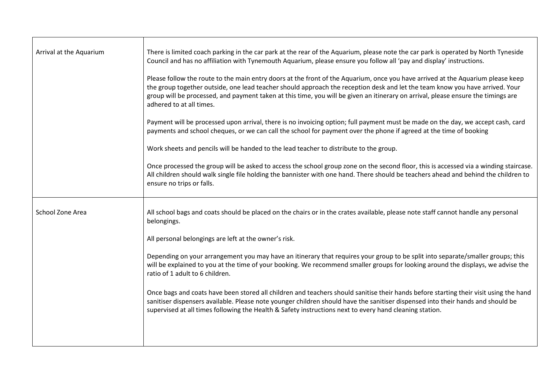| Arrival at the Aquarium | There is limited coach parking in the car park at the rear of the Aquarium, please note the car park is operated by North Tyneside<br>Council and has no affiliation with Tynemouth Aquarium, please ensure you follow all 'pay and display' instructions.                                                                                                                                                                       |
|-------------------------|----------------------------------------------------------------------------------------------------------------------------------------------------------------------------------------------------------------------------------------------------------------------------------------------------------------------------------------------------------------------------------------------------------------------------------|
|                         | Please follow the route to the main entry doors at the front of the Aquarium, once you have arrived at the Aquarium please keep<br>the group together outside, one lead teacher should approach the reception desk and let the team know you have arrived. Your<br>group will be processed, and payment taken at this time, you will be given an itinerary on arrival, please ensure the timings are<br>adhered to at all times. |
|                         | Payment will be processed upon arrival, there is no invoicing option; full payment must be made on the day, we accept cash, card<br>payments and school cheques, or we can call the school for payment over the phone if agreed at the time of booking                                                                                                                                                                           |
|                         | Work sheets and pencils will be handed to the lead teacher to distribute to the group.                                                                                                                                                                                                                                                                                                                                           |
|                         | Once processed the group will be asked to access the school group zone on the second floor, this is accessed via a winding staircase.<br>All children should walk single file holding the bannister with one hand. There should be teachers ahead and behind the children to<br>ensure no trips or falls.                                                                                                                        |
| School Zone Area        | All school bags and coats should be placed on the chairs or in the crates available, please note staff cannot handle any personal<br>belongings.                                                                                                                                                                                                                                                                                 |
|                         | All personal belongings are left at the owner's risk.                                                                                                                                                                                                                                                                                                                                                                            |
|                         | Depending on your arrangement you may have an itinerary that requires your group to be split into separate/smaller groups; this<br>will be explained to you at the time of your booking. We recommend smaller groups for looking around the displays, we advise the<br>ratio of 1 adult to 6 children.                                                                                                                           |
|                         | Once bags and coats have been stored all children and teachers should sanitise their hands before starting their visit using the hand<br>sanitiser dispensers available. Please note younger children should have the sanitiser dispensed into their hands and should be<br>supervised at all times following the Health & Safety instructions next to every hand cleaning station.                                              |
|                         |                                                                                                                                                                                                                                                                                                                                                                                                                                  |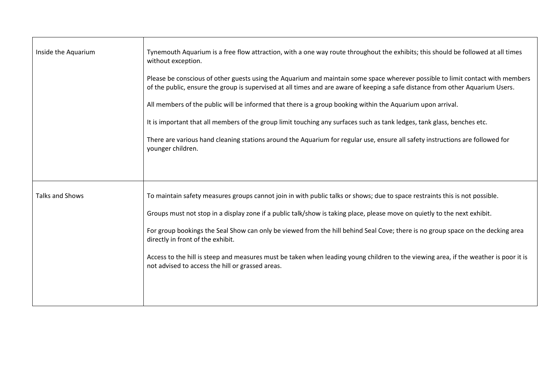| Inside the Aquarium | Tynemouth Aquarium is a free flow attraction, with a one way route throughout the exhibits; this should be followed at all times<br>without exception.<br>Please be conscious of other guests using the Aquarium and maintain some space wherever possible to limit contact with members<br>of the public, ensure the group is supervised at all times and are aware of keeping a safe distance from other Aquarium Users.<br>All members of the public will be informed that there is a group booking within the Aquarium upon arrival.<br>It is important that all members of the group limit touching any surfaces such as tank ledges, tank glass, benches etc.<br>There are various hand cleaning stations around the Aquarium for regular use, ensure all safety instructions are followed for<br>younger children. |
|---------------------|---------------------------------------------------------------------------------------------------------------------------------------------------------------------------------------------------------------------------------------------------------------------------------------------------------------------------------------------------------------------------------------------------------------------------------------------------------------------------------------------------------------------------------------------------------------------------------------------------------------------------------------------------------------------------------------------------------------------------------------------------------------------------------------------------------------------------|
| Talks and Shows     | To maintain safety measures groups cannot join in with public talks or shows; due to space restraints this is not possible.<br>Groups must not stop in a display zone if a public talk/show is taking place, please move on quietly to the next exhibit.<br>For group bookings the Seal Show can only be viewed from the hill behind Seal Cove; there is no group space on the decking area<br>directly in front of the exhibit.<br>Access to the hill is steep and measures must be taken when leading young children to the viewing area, if the weather is poor it is<br>not advised to access the hill or grassed areas.                                                                                                                                                                                              |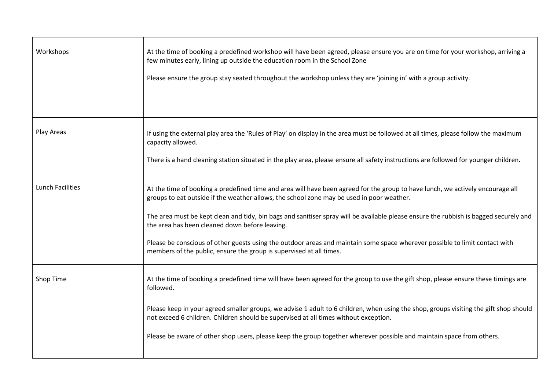| Workshops               | At the time of booking a predefined workshop will have been agreed, please ensure you are on time for your workshop, arriving a<br>few minutes early, lining up outside the education room in the School Zone<br>Please ensure the group stay seated throughout the workshop unless they are 'joining in' with a group activity.                                                                                                                                                                                                                                                                                             |
|-------------------------|------------------------------------------------------------------------------------------------------------------------------------------------------------------------------------------------------------------------------------------------------------------------------------------------------------------------------------------------------------------------------------------------------------------------------------------------------------------------------------------------------------------------------------------------------------------------------------------------------------------------------|
| Play Areas              | If using the external play area the 'Rules of Play' on display in the area must be followed at all times, please follow the maximum<br>capacity allowed.<br>There is a hand cleaning station situated in the play area, please ensure all safety instructions are followed for younger children.                                                                                                                                                                                                                                                                                                                             |
| <b>Lunch Facilities</b> | At the time of booking a predefined time and area will have been agreed for the group to have lunch, we actively encourage all<br>groups to eat outside if the weather allows, the school zone may be used in poor weather.<br>The area must be kept clean and tidy, bin bags and sanitiser spray will be available please ensure the rubbish is bagged securely and<br>the area has been cleaned down before leaving.<br>Please be conscious of other guests using the outdoor areas and maintain some space wherever possible to limit contact with<br>members of the public, ensure the group is supervised at all times. |
| Shop Time               | At the time of booking a predefined time will have been agreed for the group to use the gift shop, please ensure these timings are<br>followed.<br>Please keep in your agreed smaller groups, we advise 1 adult to 6 children, when using the shop, groups visiting the gift shop should<br>not exceed 6 children. Children should be supervised at all times without exception.<br>Please be aware of other shop users, please keep the group together wherever possible and maintain space from others.                                                                                                                    |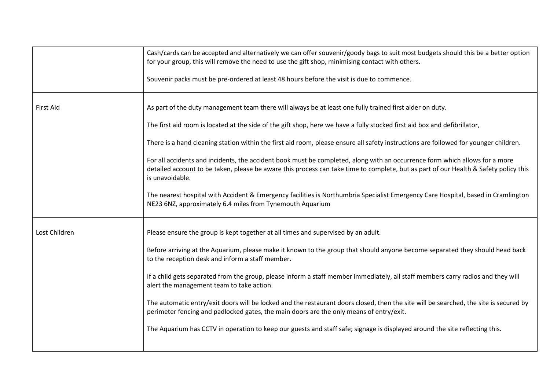|                  | Cash/cards can be accepted and alternatively we can offer souvenir/goody bags to suit most budgets should this be a better option<br>for your group, this will remove the need to use the gift shop, minimising contact with others.                                                   |
|------------------|----------------------------------------------------------------------------------------------------------------------------------------------------------------------------------------------------------------------------------------------------------------------------------------|
|                  | Souvenir packs must be pre-ordered at least 48 hours before the visit is due to commence.                                                                                                                                                                                              |
| <b>First Aid</b> | As part of the duty management team there will always be at least one fully trained first aider on duty.                                                                                                                                                                               |
|                  | The first aid room is located at the side of the gift shop, here we have a fully stocked first aid box and defibrillator,                                                                                                                                                              |
|                  | There is a hand cleaning station within the first aid room, please ensure all safety instructions are followed for younger children.                                                                                                                                                   |
|                  | For all accidents and incidents, the accident book must be completed, along with an occurrence form which allows for a more<br>detailed account to be taken, please be aware this process can take time to complete, but as part of our Health & Safety policy this<br>is unavoidable. |
|                  | The nearest hospital with Accident & Emergency facilities is Northumbria Specialist Emergency Care Hospital, based in Cramlington<br>NE23 6NZ, approximately 6.4 miles from Tynemouth Aquarium                                                                                         |
| Lost Children    | Please ensure the group is kept together at all times and supervised by an adult.                                                                                                                                                                                                      |
|                  | Before arriving at the Aquarium, please make it known to the group that should anyone become separated they should head back<br>to the reception desk and inform a staff member.                                                                                                       |
|                  | If a child gets separated from the group, please inform a staff member immediately, all staff members carry radios and they will<br>alert the management team to take action.                                                                                                          |
|                  | The automatic entry/exit doors will be locked and the restaurant doors closed, then the site will be searched, the site is secured by<br>perimeter fencing and padlocked gates, the main doors are the only means of entry/exit.                                                       |
|                  | The Aquarium has CCTV in operation to keep our guests and staff safe; signage is displayed around the site reflecting this.                                                                                                                                                            |
|                  |                                                                                                                                                                                                                                                                                        |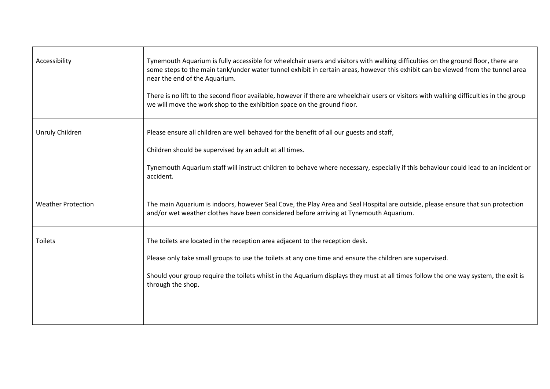| Accessibility             | Tynemouth Aquarium is fully accessible for wheelchair users and visitors with walking difficulties on the ground floor, there are<br>some steps to the main tank/under water tunnel exhibit in certain areas, however this exhibit can be viewed from the tunnel area<br>near the end of the Aquarium.<br>There is no lift to the second floor available, however if there are wheelchair users or visitors with walking difficulties in the group<br>we will move the work shop to the exhibition space on the ground floor. |
|---------------------------|-------------------------------------------------------------------------------------------------------------------------------------------------------------------------------------------------------------------------------------------------------------------------------------------------------------------------------------------------------------------------------------------------------------------------------------------------------------------------------------------------------------------------------|
| Unruly Children           | Please ensure all children are well behaved for the benefit of all our guests and staff,<br>Children should be supervised by an adult at all times.<br>Tynemouth Aquarium staff will instruct children to behave where necessary, especially if this behaviour could lead to an incident or<br>accident.                                                                                                                                                                                                                      |
| <b>Weather Protection</b> | The main Aquarium is indoors, however Seal Cove, the Play Area and Seal Hospital are outside, please ensure that sun protection<br>and/or wet weather clothes have been considered before arriving at Tynemouth Aquarium.                                                                                                                                                                                                                                                                                                     |
| <b>Toilets</b>            | The toilets are located in the reception area adjacent to the reception desk.<br>Please only take small groups to use the toilets at any one time and ensure the children are supervised.<br>Should your group require the toilets whilst in the Aquarium displays they must at all times follow the one way system, the exit is<br>through the shop.                                                                                                                                                                         |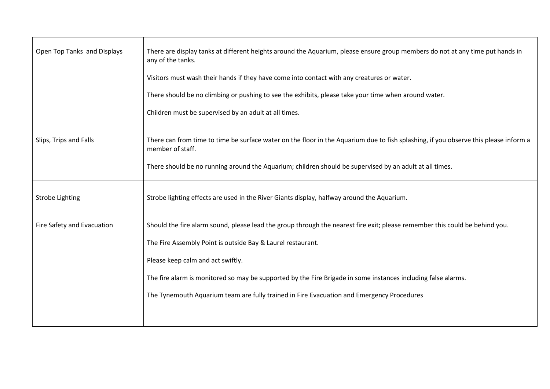| Open Top Tanks and Displays | There are display tanks at different heights around the Aquarium, please ensure group members do not at any time put hands in<br>any of the tanks.       |
|-----------------------------|----------------------------------------------------------------------------------------------------------------------------------------------------------|
|                             | Visitors must wash their hands if they have come into contact with any creatures or water.                                                               |
|                             | There should be no climbing or pushing to see the exhibits, please take your time when around water.                                                     |
|                             | Children must be supervised by an adult at all times.                                                                                                    |
| Slips, Trips and Falls      | There can from time to time be surface water on the floor in the Aquarium due to fish splashing, if you observe this please inform a<br>member of staff. |
|                             | There should be no running around the Aquarium; children should be supervised by an adult at all times.                                                  |
| <b>Strobe Lighting</b>      | Strobe lighting effects are used in the River Giants display, halfway around the Aquarium.                                                               |
| Fire Safety and Evacuation  | Should the fire alarm sound, please lead the group through the nearest fire exit; please remember this could be behind you.                              |
|                             | The Fire Assembly Point is outside Bay & Laurel restaurant.                                                                                              |
|                             | Please keep calm and act swiftly.                                                                                                                        |
|                             | The fire alarm is monitored so may be supported by the Fire Brigade in some instances including false alarms.                                            |
|                             | The Tynemouth Aquarium team are fully trained in Fire Evacuation and Emergency Procedures                                                                |
|                             |                                                                                                                                                          |